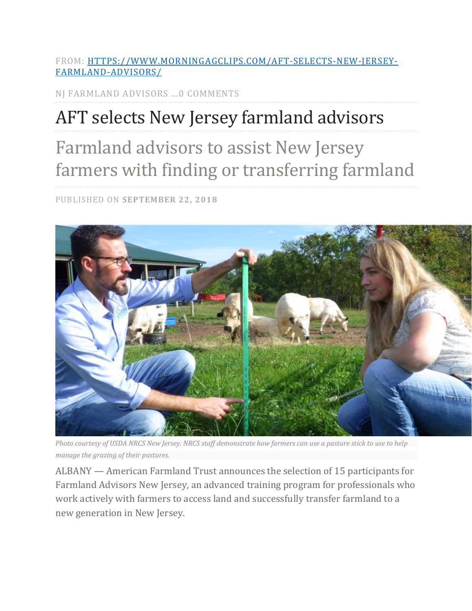FROM: [HTTPS://WWW.MORNINGAGCLIPS.COM/AFT-SELECTS-NEW-JERSEY-](https://www.morningagclips.com/aft-selects-new-jersey-farmland-advisors/)[FARMLAND-ADVISORS/](https://www.morningagclips.com/aft-selects-new-jersey-farmland-advisors/)

NJ FARMLAND ADVISORS ...0 COMMENTS

## AFT selects New Jersey farmland advisors

## Farmland advisors to assist New Jersey farmers with finding or transferring farmland

PUBLISHED ON **SEPTEMBER 22, 2018**



*Photo courtesy of USDA NRCS New Jersey. NRCS staff demonstrate how farmers can use a pasture stick to use to help manage the grazing of their pastures.*

ALBANY — American Farmland Trust announces the selection of 15 participants for Farmland Advisors New Jersey, an advanced training program for professionals who work actively with farmers to access land and successfully transfer farmland to a new generation in New Jersey.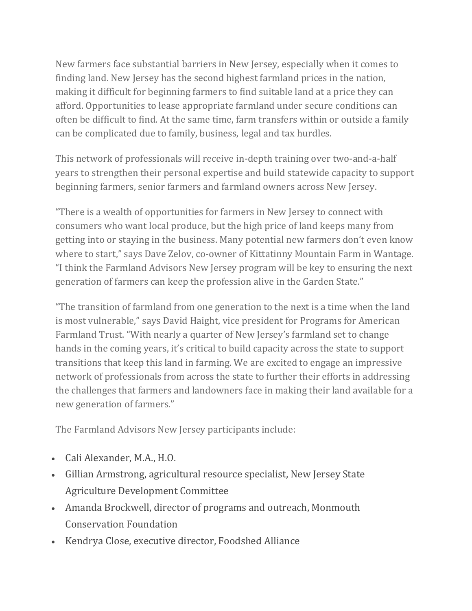New farmers face substantial barriers in New Jersey, especially when it comes to finding land. New Jersey has the second highest farmland prices in the nation, making it difficult for beginning farmers to find suitable land at a price they can afford. Opportunities to lease appropriate farmland under secure conditions can often be difficult to find. At the same time, farm transfers within or outside a family can be complicated due to family, business, legal and tax hurdles.

This network of professionals will receive in-depth training over two-and-a-half years to strengthen their personal expertise and build statewide capacity to support beginning farmers, senior farmers and farmland owners across New Jersey.

"There is a wealth of opportunities for farmers in New Jersey to connect with consumers who want local produce, but the high price of land keeps many from getting into or staying in the business. Many potential new farmers don't even know where to start," says Dave Zelov, co-owner of Kittatinny Mountain Farm in Wantage. "I think the Farmland Advisors New Jersey program will be key to ensuring the next generation of farmers can keep the profession alive in the Garden State."

"The transition of farmland from one generation to the next is a time when the land is most vulnerable," says David Haight, vice president for Programs for American Farmland Trust. "With nearly a quarter of New Jersey's farmland set to change hands in the coming years, it's critical to build capacity across the state to support transitions that keep this land in farming. We are excited to engage an impressive network of professionals from across the state to further their efforts in addressing the challenges that farmers and landowners face in making their land available for a new generation of farmers."

The Farmland Advisors New Jersey participants include:

- Cali Alexander, M.A., H.O.
- Gillian Armstrong, agricultural resource specialist, New Jersey State Agriculture Development Committee
- Amanda Brockwell, director of programs and outreach, Monmouth Conservation Foundation
- Kendrya Close, executive director, Foodshed Alliance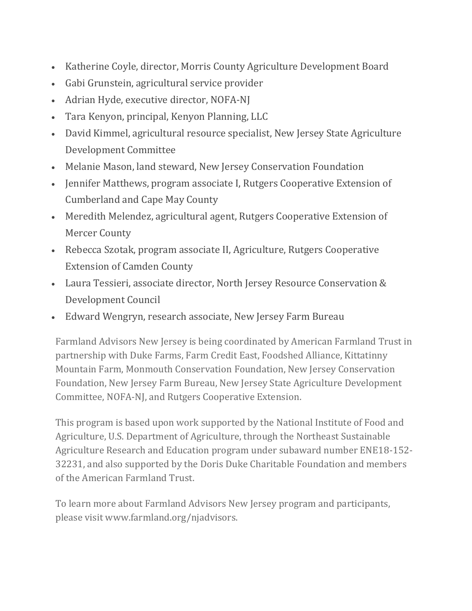- Katherine Coyle, director, Morris County Agriculture Development Board
- Gabi Grunstein, agricultural service provider
- Adrian Hyde, executive director, NOFA-NJ
- Tara Kenyon, principal, Kenyon Planning, LLC
- David Kimmel, agricultural resource specialist, New Jersey State Agriculture Development Committee
- Melanie Mason, land steward, New Jersey Conservation Foundation
- Jennifer Matthews, program associate I, Rutgers Cooperative Extension of Cumberland and Cape May County
- Meredith Melendez, agricultural agent, Rutgers Cooperative Extension of Mercer County
- Rebecca Szotak, program associate II, Agriculture, Rutgers Cooperative Extension of Camden County
- Laura Tessieri, associate director, North Jersey Resource Conservation & Development Council
- Edward Wengryn, research associate, New Jersey Farm Bureau

Farmland Advisors New Jersey is being coordinated by American Farmland Trust in partnership with Duke Farms, Farm Credit East, Foodshed Alliance, Kittatinny Mountain Farm, Monmouth Conservation Foundation, New Jersey Conservation Foundation, New Jersey Farm Bureau, New Jersey State Agriculture Development Committee, NOFA-NJ, and Rutgers Cooperative Extension.

This program is based upon work supported by the National Institute of Food and Agriculture, U.S. Department of Agriculture, through the Northeast Sustainable Agriculture Research and Education program under subaward number ENE18-152- 32231, and also supported by the Doris Duke Charitable Foundation and members of the American Farmland Trust.

To learn more about Farmland Advisors New Jersey program and participants, please visit www.farmland.org/njadvisors.